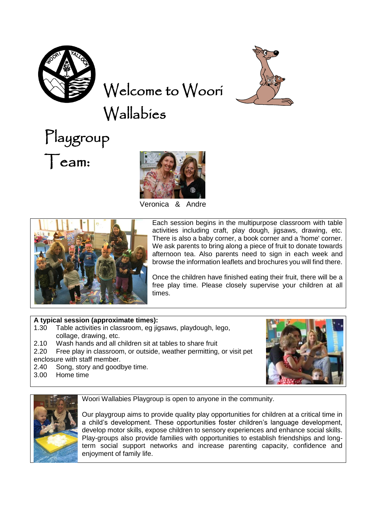

Welcome to Woori

Wallabies





Veronica & Andre



Each session begins in the multipurpose classroom with table activities including craft, play dough, jigsaws, drawing, etc. There is also a baby corner, a book corner and a 'home' corner. We ask parents to bring along a piece of fruit to donate towards afternoon tea. Also parents need to sign in each week and browse the information leaflets and brochures you will find there.

Once the children have finished eating their fruit, there will be a free play time. Please closely supervise your children at all times.

## **A typical session (approximate times):**

- 1.30 Table activities in classroom, eg jigsaws, playdough, lego, collage, drawing, etc.
- 2.10 Wash hands and all children sit at tables to share fruit
- 2.20 Free play in classroom, or outside, weather permitting, or visit pet enclosure with staff member.
- 2.40 Song, story and goodbye time.
- 3.00 Home time





Woori Wallabies Playgroup is open to anyone in the community.

Our playgroup aims to provide quality play opportunities for children at a critical time in a child's development. These opportunities foster children's language development, develop motor skills, expose children to sensory experiences and enhance social skills. Play-groups also provide families with opportunities to establish friendships and longterm social support networks and increase parenting capacity, confidence and enjoyment of family life.